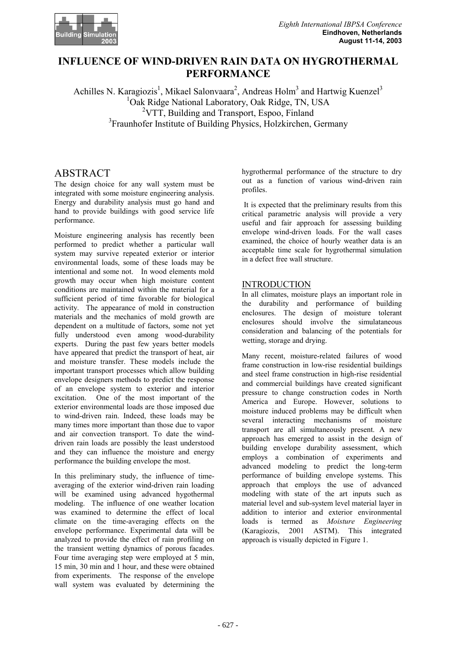

# **INFLUENCE OF WIND-DRIVEN RAIN DATA ON HYGROTHERMAL PERFORMANCE**

Achilles N. Karagiozis<sup>1</sup>, Mikael Salonvaara<sup>2</sup>, Andreas Holm<sup>3</sup> and Hartwig Kuenzel<sup>3</sup> <sup>1</sup>Oak Ridge National Laboratory, Oak Ridge, TN, USA <sup>2</sup>VTT, Building and Transport, Espoo, Finland 3 Fraunhofer Institute of Building Physics, Holzkirchen, Germany

# ABSTRACT

The design choice for any wall system must be integrated with some moisture engineering analysis. Energy and durability analysis must go hand and hand to provide buildings with good service life performance.

Moisture engineering analysis has recently been performed to predict whether a particular wall system may survive repeated exterior or interior environmental loads, some of these loads may be intentional and some not. In wood elements mold growth may occur when high moisture content conditions are maintained within the material for a sufficient period of time favorable for biological activity. The appearance of mold in construction materials and the mechanics of mold growth are dependent on a multitude of factors, some not yet fully understood even among wood-durability experts. During the past few years better models have appeared that predict the transport of heat, air and moisture transfer. These models include the important transport processes which allow building envelope designers methods to predict the response of an envelope system to exterior and interior excitation. One of the most important of the exterior environmental loads are those imposed due to wind-driven rain. Indeed, these loads may be many times more important than those due to vapor and air convection transport. To date the winddriven rain loads are possibly the least understood and they can influence the moisture and energy performance the building envelope the most.

In this preliminary study, the influence of timeaveraging of the exterior wind-driven rain loading will be examined using advanced hygothermal modeling. The influence of one weather location was examined to determine the effect of local climate on the time-averaging effects on the envelope performance. Experimental data will be analyzed to provide the effect of rain profiling on the transient wetting dynamics of porous facades. Four time averaging step were employed at 5 min, 15 min, 30 min and 1 hour, and these were obtained from experiments. The response of the envelope wall system was evaluated by determining the hygrothermal performance of the structure to dry out as a function of various wind-driven rain profiles.

 It is expected that the preliminary results from this critical parametric analysis will provide a very useful and fair approach for assessing building envelope wind-driven loads. For the wall cases examined, the choice of hourly weather data is an acceptable time scale for hygrothermal simulation in a defect free wall structure.

# **INTRODUCTION**

In all climates, moisture plays an important role in the durability and performance of building enclosures. The design of moisture tolerant enclosures should involve the simulataneous consideration and balancing of the potentials for wetting, storage and drying.

Many recent, moisture-related failures of wood frame construction in low-rise residential buildings and steel frame construction in high-rise residential and commercial buildings have created significant pressure to change construction codes in North America and Europe. However, solutions to moisture induced problems may be difficult when several interacting mechanisms of moisture transport are all simultaneously present. A new approach has emerged to assist in the design of building envelope durability assessment, which employs a combination of experiments and advanced modeling to predict the long-term performance of building envelope systems. This approach that employs the use of advanced modeling with state of the art inputs such as material level and sub-system level material layer in addition to interior and exterior environmental loads is termed as *Moisture Engineering* (Karagiozis, 2001 ASTM). This integrated approach is visually depicted in Figure 1.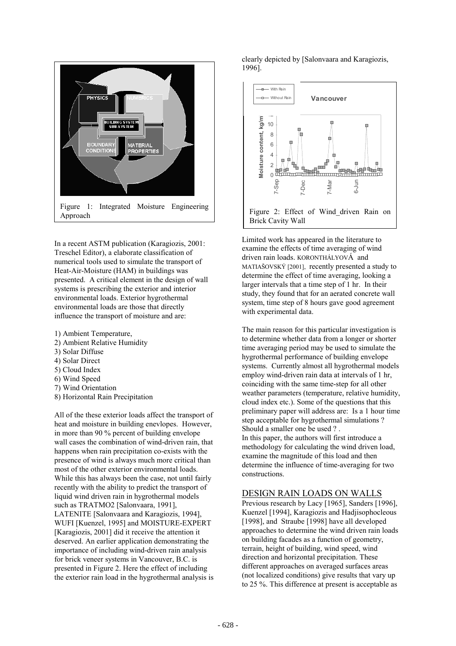

In a recent ASTM publication (Karagiozis, 2001: Treschel Editor), a elaborate classification of numerical tools used to simulate the transport of Heat-Air-Moisture (HAM) in buildings was presented. A critical element in the design of wall systems is prescribing the exterior and interior environmental loads. Exterior hygrothermal environmental loads are those that directly influence the transport of moisture and are:

- 1) Ambient Temperature,
- 2) Ambient Relative Humidity
- 3) Solar Diffuse
- 4) Solar Direct
- 5) Cloud Index
- 6) Wind Speed
- 7) Wind Orientation
- 8) Horizontal Rain Precipitation

All of the these exterior loads affect the transport of heat and moisture in building enevlopes. However, in more than 90 % percent of building envelope wall cases the combination of wind-driven rain, that happens when rain precipitation co-exists with the presence of wind is always much more critical than most of the other exterior environmental loads. While this has always been the case, not until fairly recently with the ability to predict the transport of liquid wind driven rain in hygrothermal models such as TRATMO2 [Salonvaara, 1991], LATENITE [Salonvaara and Karagiozis, 1994], WUFI [Kuenzel, 1995] and MOISTURE-EXPERT [Karagiozis, 2001] did it receive the attention it deserved. An earlier application demonstrating the importance of including wind-driven rain analysis for brick veneer systems in Vancouver, B.C. is presented in Figure 2. Here the effect of including the exterior rain load in the hygrothermal analysis is

clearly depicted by [Salonvaara and Karagiozis, 1996].



Limited work has appeared in the literature to examine the effects of time averaging of wind driven rain loads. KORONTHÁLYOVÁ and MATIAŠOVSKÝ [2001], recently presented a study to determine the effect of time averaging, looking a larger intervals that a time step of 1 hr. In their study, they found that for an aerated concrete wall system, time step of 8 hours gave good agreement with experimental data.

The main reason for this particular investigation is to determine whether data from a longer or shorter time averaging period may be used to simulate the hygrothermal performance of building envelope systems. Currently almost all hygrothermal models employ wind-driven rain data at intervals of 1 hr. coinciding with the same time-step for all other weather parameters (temperature, relative humidity, cloud index etc.). Some of the questions that this preliminary paper will address are: Is a 1 hour time step acceptable for hygrothermal simulations ? Should a smaller one be used ? . In this paper, the authors will first introduce a methodology for calculating the wind driven load, examine the magnitude of this load and then determine the influence of time-averaging for two constructions.

# DESIGN RAIN LOADS ON WALLS

Previous research by Lacy [1965], Sanders [1996], Kuenzel [1994], Karagiozis and Hadjisophocleous [1998], and Straube [1998] have all developed approaches to determine the wind driven rain loads on building facades as a function of geometry, terrain, height of building, wind speed, wind direction and horizontal precipitation. These different approaches on averaged surfaces areas (not localized conditions) give results that vary up to 25 %. This difference at present is acceptable as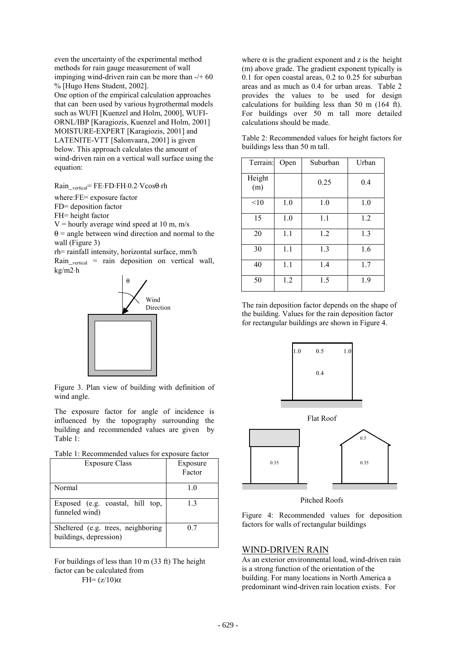even the uncertainty of the experimental method methods for rain gauge measurement of wall impinging wind-driven rain can be more than -/+ 60 % [Hugo Hens Student, 2002].

One option of the empirical calculation approaches that can been used by various hygrothermal models such as WUFI [Kuenzel and Holm, 2000], WUFI-ORNL/IBP [Karagiozis, Kuenzel and Holm, 2001] MOISTURE-EXPERT [Karagiozis, 2001] and LATENITE-VTT [Salonvaara, 2001] is given below. This approach calculates the amount of wind-driven rain on a vertical wall surface using the equation:

Rain\_vertical= FE⋅FD⋅FH⋅0.2⋅Vcosθ⋅rh

where:FE= exposure factor

FD= deposition factor

FH= height factor

 $V =$  hourly average wind speed at 10 m, m/s

 $\theta$  = angle between wind direction and normal to the wall (Figure 3)

rh= rainfall intensity, horizontal surface, mm/h

 $Rain_{vertical}$  = rain deposition on vertical wall, kg/m2⋅h



Figure 3. Plan view of building with definition of wind angle.

The exposure factor for angle of incidence is influenced by the topography surrounding the building and recommended values are given by Table 1:

|  |  |  |  |  |  | Table 1: Recommended values for exposure factor |
|--|--|--|--|--|--|-------------------------------------------------|
|--|--|--|--|--|--|-------------------------------------------------|

| <b>Exposure Class</b>                                        | Exposure<br>Factor |
|--------------------------------------------------------------|--------------------|
| Normal                                                       | 1.0                |
| Exposed (e.g. coastal, hill top,<br>funneled wind)           | 13                 |
| Sheltered (e.g. trees, neighboring<br>buildings, depression) | 07                 |

For buildings of less than 10 m (33 ft) The height factor can be calculated from  $FH=(z/10)\alpha$ 

where  $\alpha$  is the gradient exponent and z is the height (m) above grade. The gradient exponent typically is 0.1 for open coastal areas, 0.2 to 0.25 for suburban areas and as much as 0.4 for urban areas. Table 2 provides the values to be used for design calculations for building less than 50 m (164 ft). For buildings over 50 m tall more detailed calculations should be made.

Table 2: Recommended values for height factors for buildings less than 50 m tall.

| Terrain:      | Open | Suburban | Urban |
|---------------|------|----------|-------|
| Height<br>(m) |      | 0.25     | 0.4   |
| <10           | 1.0  | 1.0      | 1.0   |
| 15            | 1.0  | 1.1      | 1.2   |
| 20            | 1.1  | 1.2      | 1.3   |
| 30            | 1.1  | 1.3      | 1.6   |
| 40            | 1.1  | 1.4      | 1.7   |
| 50            | 1.2  | 1.5      | 1.9   |

The rain deposition factor depends on the shape of the building. Values for the rain deposition factor for rectangular buildings are shown in Figure 4.





#### Pitched Roofs

Figure 4: Recommended values for deposition factors for walls of rectangular buildings

#### WIND-DRIVEN RAIN

As an exterior environmental load, wind-driven rain is a strong function of the orientation of the building. For many locations in North America a predominant wind-driven rain location exists. For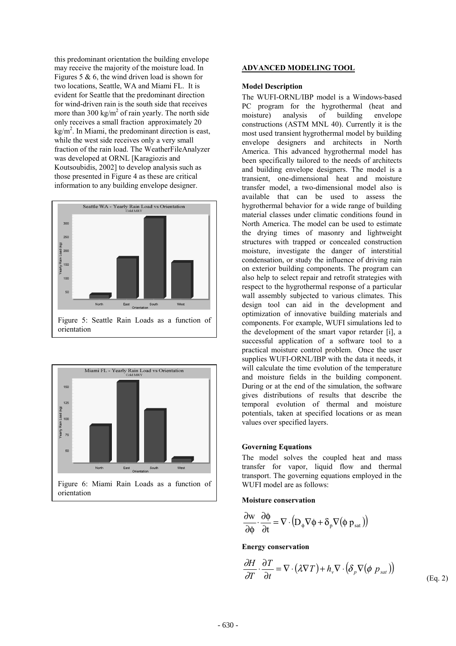this predominant orientation the building envelope may receive the majority of the moisture load. In Figures 5  $\&$  6, the wind driven load is shown for two locations, Seattle, WA and Miami FL. It is evident for Seattle that the predominant direction for wind-driven rain is the south side that receives more than 300 kg/m<sup>2</sup> of rain yearly. The north side only receives a small fraction approximately 20  $kg/m<sup>2</sup>$ . In Miami, the predominant direction is east, while the west side receives only a very small fraction of the rain load. The WeatherFileAnalyzer was developed at ORNL [Karagiozis and Koutsoubidis, 2002] to develop analysis such as those presented in Figure 4 as these are critical information to any building envelope designer.





#### **ADVANCED MODELING TOOL**

#### **Model Description**

The WUFI-ORNL/IBP model is a Windows-based PC program for the hygrothermal (heat and moisture) analysis of building envelope constructions (ASTM MNL 40). Currently it is the most used transient hygrothermal model by building envelope designers and architects in North America. This advanced hygrothermal model has been specifically tailored to the needs of architects and building envelope designers. The model is a transient, one-dimensional heat and moisture transfer model, a two-dimensional model also is available that can be used to assess the hygrothermal behavior for a wide range of building material classes under climatic conditions found in North America. The model can be used to estimate the drying times of masonry and lightweight structures with trapped or concealed construction moisture, investigate the danger of interstitial condensation, or study the influence of driving rain on exterior building components. The program can also help to select repair and retrofit strategies with respect to the hygrothermal response of a particular wall assembly subjected to various climates. This design tool can aid in the development and optimization of innovative building materials and components. For example, WUFI simulations led to the development of the smart vapor retarder [i], a successful application of a software tool to a practical moisture control problem. Once the user supplies WUFI-ORNL/IBP with the data it needs, it will calculate the time evolution of the temperature and moisture fields in the building component. During or at the end of the simulation, the software gives distributions of results that describe the temporal evolution of thermal and moisture potentials, taken at specified locations or as mean values over specified layers.

#### **Governing Equations**

The model solves the coupled heat and mass transfer for vapor, liquid flow and thermal transport. The governing equations employed in the WUFI model are as follows:

#### **Moisture conservation**

$$
\frac{\partial \mathbf{w}}{\partial \phi} \cdot \frac{\partial \phi}{\partial t} = \nabla \cdot (\mathbf{D}_{\phi} \nabla \phi + \delta_{\mathrm{p}} \nabla (\phi \mathbf{p}_{\mathrm{sat}}))
$$

#### **Energy conservation**

$$
\frac{\partial H}{\partial T} \cdot \frac{\partial T}{\partial t} = \nabla \cdot (\lambda \nabla T) + h_v \nabla \cdot (\delta_p \nabla (\phi \, p_{sat}))
$$
\n(Eq. 2)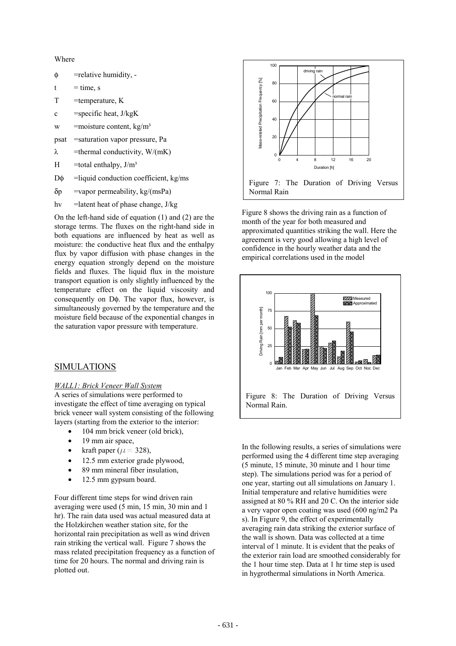Where

- φ =relative humidity, -
- $t = time, s$
- $T =$ temperature, K
- c = specific heat,  $J/kgK$
- w = moisture content,  $kg/m<sup>3</sup>$
- psat =saturation vapor pressure, Pa
- $\lambda$  =thermal conductivity, W/(mK)
- H =total enthalpy,  $J/m<sup>3</sup>$
- $D\phi$  =liquid conduction coefficient, kg/ms
- $\delta p$  =vapor permeability, kg/(msPa)
- hv =latent heat of phase change, J/kg

On the left-hand side of equation (1) and (2) are the storage terms. The fluxes on the right-hand side in both equations are influenced by heat as well as moisture: the conductive heat flux and the enthalpy flux by vapor diffusion with phase changes in the energy equation strongly depend on the moisture fields and fluxes. The liquid flux in the moisture transport equation is only slightly influenced by the temperature effect on the liquid viscosity and consequently on D<sub>φ</sub>. The vapor flux, however, is simultaneously governed by the temperature and the moisture field because of the exponential changes in the saturation vapor pressure with temperature.

### SIMULATIONS

#### *WALL1: Brick Veneer Wall System*

A series of simulations were performed to investigate the effect of time averaging on typical brick veneer wall system consisting of the following layers (starting from the exterior to the interior:

- 104 mm brick veneer (old brick),
- 19 mm air space,
- kraft paper ( $\mu$  = 328),
- 12.5 mm exterior grade plywood,
- 89 mm mineral fiber insulation,
- 12.5 mm gypsum board.

Four different time steps for wind driven rain averaging were used (5 min, 15 min, 30 min and 1 hr). The rain data used was actual measured data at the Holzkirchen weather station site, for the horizontal rain precipitation as well as wind driven rain striking the vertical wall. Figure 7 shows the mass related precipitation frequency as a function of time for 20 hours. The normal and driving rain is plotted out.



Figure 8 shows the driving rain as a function of month of the year for both measured and approximated quantities striking the wall. Here the agreement is very good allowing a high level of confidence in the hourly weather data and the empirical correlations used in the model



In the following results, a series of simulations were performed using the 4 different time step averaging (5 minute, 15 minute, 30 minute and 1 hour time step). The simulations period was for a period of one year, starting out all simulations on January 1. Initial temperature and relative humidities were assigned at 80 % RH and 20 C. On the interior side a very vapor open coating was used (600 ng/m2 Pa s). In Figure 9, the effect of experimentally averaging rain data striking the exterior surface of the wall is shown. Data was collected at a time interval of 1 minute. It is evident that the peaks of the exterior rain load are smoothed considerably for the 1 hour time step. Data at 1 hr time step is used in hygrothermal simulations in North America.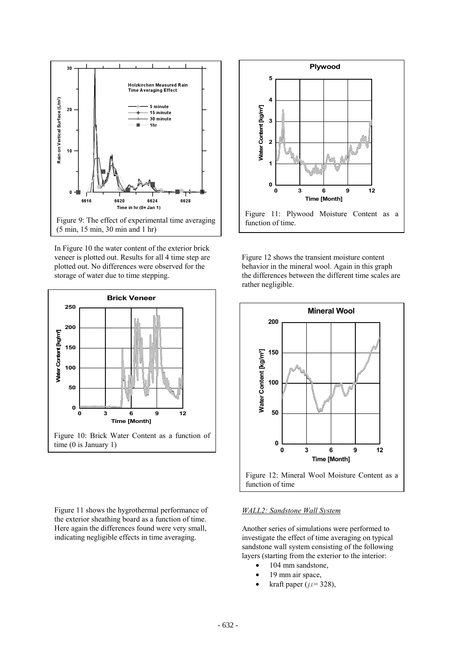

In Figure 10 the water content of the exterior brick veneer is plotted out. Results for all 4 time step are plotted out. No differences were observed for the storage of water due to time stepping.



Figure 11 shows the hygrothermal performance of the exterior sheathing board as a function of time. Here again the differences found were very small, indicating negligible effects in time averaging.



Figure 12 shows the transient moisture content behavior in the mineral wool. Again in this graph the differences between the different time scales are rather negligible.



#### *WALL2: Sandstone Wall System*

Another series of simulations were performed to investigate the effect of time averaging on typical sandstone wall system consisting of the following layers (starting from the exterior to the interior:

- 104 mm sandstone,
- 19 mm air space,
- kraft paper ( $\mu$ = 328),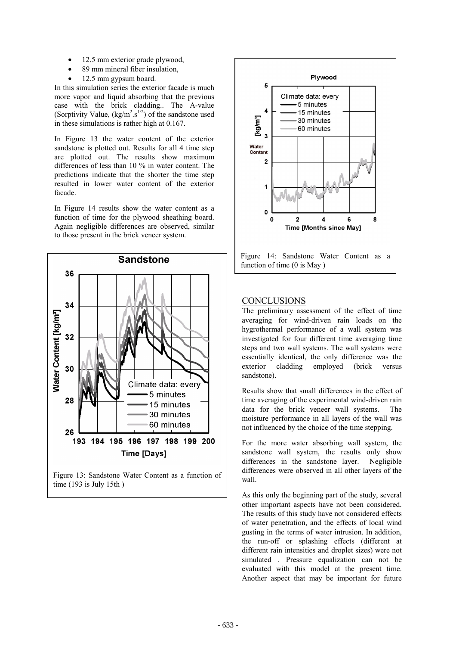- 12.5 mm exterior grade plywood,
- 89 mm mineral fiber insulation,
- 12.5 mm gypsum board.

In this simulation series the exterior facade is much more vapor and liquid absorbing that the previous case with the brick cladding.. The A-value (Sorptivity Value,  $(kg/m^2.s^{1/2})$  of the sandstone used in these simulations is rather high at 0.167.

In Figure 13 the water content of the exterior sandstone is plotted out. Results for all 4 time step are plotted out. The results show maximum differences of less than 10 % in water content. The predictions indicate that the shorter the time step resulted in lower water content of the exterior facade.

In Figure 14 results show the water content as a function of time for the plywood sheathing board. Again negligible differences are observed, similar to those present in the brick veneer system.



Figure 13: Sandstone Water Content as a function of time (193 is July 15th )



## **CONCLUSIONS**

The preliminary assessment of the effect of time averaging for wind-driven rain loads on the hygrothermal performance of a wall system was investigated for four different time averaging time steps and two wall systems. The wall systems were essentially identical, the only difference was the exterior cladding employed (brick versus sandstone).

Results show that small differences in the effect of time averaging of the experimental wind-driven rain data for the brick veneer wall systems. The moisture performance in all layers of the wall was not influenced by the choice of the time stepping.

For the more water absorbing wall system, the sandstone wall system, the results only show differences in the sandstone layer. Negligible differences were observed in all other layers of the wall.

As this only the beginning part of the study, several other important aspects have not been considered. The results of this study have not considered effects of water penetration, and the effects of local wind gusting in the terms of water intrusion. In addition, the run-off or splashing effects (different at different rain intensities and droplet sizes) were not simulated . Pressure equalization can not be evaluated with this model at the present time. Another aspect that may be important for future